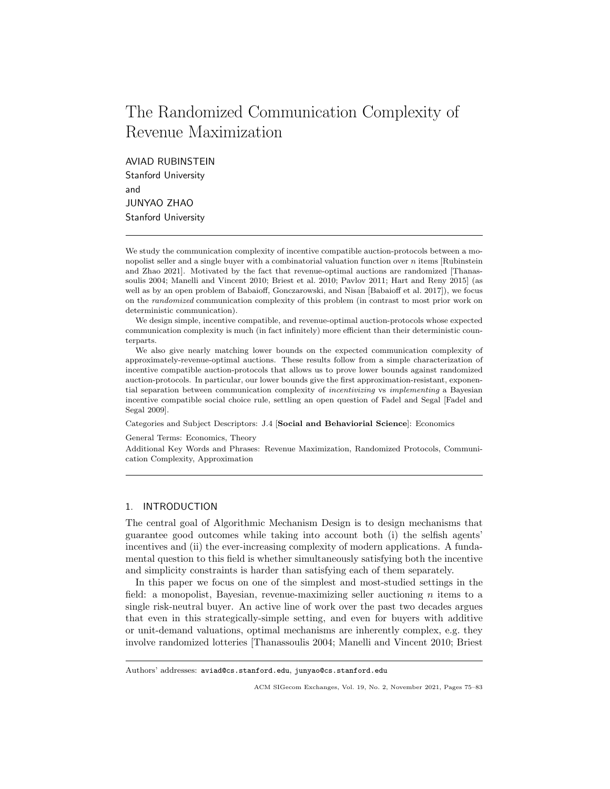# The Randomized Communication Complexity of Revenue Maximization

AVIAD RUBINSTEIN Stanford University and JUNYAO ZHAO Stanford University

We study the communication complexity of incentive compatible auction-protocols between a monopolist seller and a single buyer with a combinatorial valuation function over  $n$  items [Rubinstein] and Zhao 2021]. Motivated by the fact that revenue-optimal auctions are randomized [Thanassoulis 2004; Manelli and Vincent 2010; Briest et al. 2010; Pavlov 2011; Hart and Reny 2015] (as well as by an open problem of Babaioff, Gonczarowski, and Nisan [Babaioff et al. 2017]), we focus on the randomized communication complexity of this problem (in contrast to most prior work on deterministic communication).

We design simple, incentive compatible, and revenue-optimal auction-protocols whose expected communication complexity is much (in fact infinitely) more efficient than their deterministic counterparts.

We also give nearly matching lower bounds on the expected communication complexity of approximately-revenue-optimal auctions. These results follow from a simple characterization of incentive compatible auction-protocols that allows us to prove lower bounds against randomized auction-protocols. In particular, our lower bounds give the first approximation-resistant, exponential separation between communication complexity of *incentivizing* vs *implementing* a Bayesian incentive compatible social choice rule, settling an open question of Fadel and Segal [Fadel and Segal 2009].

Categories and Subject Descriptors: J.4 [Social and Behaviorial Science]: Economics

General Terms: Economics, Theory

Additional Key Words and Phrases: Revenue Maximization, Randomized Protocols, Communication Complexity, Approximation

# 1. INTRODUCTION

The central goal of Algorithmic Mechanism Design is to design mechanisms that guarantee good outcomes while taking into account both (i) the selfish agents' incentives and (ii) the ever-increasing complexity of modern applications. A fundamental question to this field is whether simultaneously satisfying both the incentive and simplicity constraints is harder than satisfying each of them separately.

In this paper we focus on one of the simplest and most-studied settings in the field: a monopolist, Bayesian, revenue-maximizing seller auctioning  $n$  items to a single risk-neutral buyer. An active line of work over the past two decades argues that even in this strategically-simple setting, and even for buyers with additive or unit-demand valuations, optimal mechanisms are inherently complex, e.g. they involve randomized lotteries [Thanassoulis 2004; Manelli and Vincent 2010; Briest

Authors' addresses: aviad@cs.stanford.edu, junyao@cs.stanford.edu

ACM SIGecom Exchanges, Vol. 19, No. 2, November 2021, Pages 75–83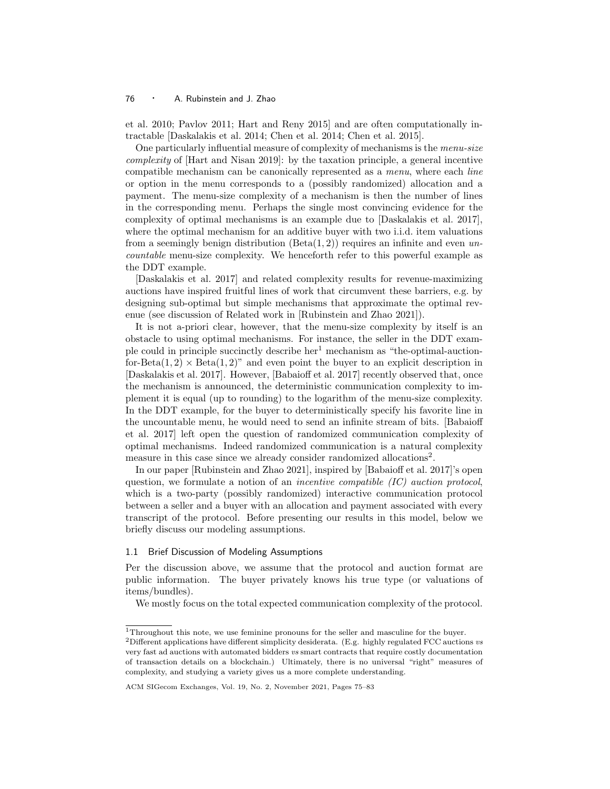et al. 2010; Pavlov 2011; Hart and Reny 2015] and are often computationally intractable [Daskalakis et al. 2014; Chen et al. 2014; Chen et al. 2015].

One particularly influential measure of complexity of mechanisms is the menu-size complexity of [Hart and Nisan 2019]: by the taxation principle, a general incentive compatible mechanism can be canonically represented as a *menu*, where each *line* or option in the menu corresponds to a (possibly randomized) allocation and a payment. The menu-size complexity of a mechanism is then the number of lines in the corresponding menu. Perhaps the single most convincing evidence for the complexity of optimal mechanisms is an example due to [Daskalakis et al. 2017], where the optimal mechanism for an additive buyer with two i.i.d. item valuations from a seemingly benign distribution  $(Beta(1, 2))$  requires an infinite and even uncountable menu-size complexity. We henceforth refer to this powerful example as the DDT example.

[Daskalakis et al. 2017] and related complexity results for revenue-maximizing auctions have inspired fruitful lines of work that circumvent these barriers, e.g. by designing sub-optimal but simple mechanisms that approximate the optimal revenue (see discussion of Related work in [Rubinstein and Zhao 2021]).

It is not a-priori clear, however, that the menu-size complexity by itself is an obstacle to using optimal mechanisms. For instance, the seller in the DDT example could in principle succinctly describe  $her<sup>1</sup>$  mechanism as "the-optimal-auctionfor-Beta $(1, 2) \times$ Beta $(1, 2)$ " and even point the buyer to an explicit description in [Daskalakis et al. 2017]. However, [Babaioff et al. 2017] recently observed that, once the mechanism is announced, the deterministic communication complexity to implement it is equal (up to rounding) to the logarithm of the menu-size complexity. In the DDT example, for the buyer to deterministically specify his favorite line in the uncountable menu, he would need to send an infinite stream of bits. [Babaioff et al. 2017] left open the question of randomized communication complexity of optimal mechanisms. Indeed randomized communication is a natural complexity measure in this case since we already consider randomized allocations<sup>2</sup>.

In our paper [Rubinstein and Zhao 2021], inspired by [Babaioff et al. 2017]'s open question, we formulate a notion of an *incentive compatible (IC) auction protocol*, which is a two-party (possibly randomized) interactive communication protocol between a seller and a buyer with an allocation and payment associated with every transcript of the protocol. Before presenting our results in this model, below we briefly discuss our modeling assumptions.

## 1.1 Brief Discussion of Modeling Assumptions

Per the discussion above, we assume that the protocol and auction format are public information. The buyer privately knows his true type (or valuations of items/bundles).

We mostly focus on the total expected communication complexity of the protocol.

 $^1\mathrm{Throughout}$  this note, we use feminine pronouns for the seller and masculine for the buyer.

<sup>&</sup>lt;sup>2</sup>Different applications have different simplicity desiderata. (E.g. highly regulated FCC auctions vs very fast ad auctions with automated bidders vs smart contracts that require costly documentation of transaction details on a blockchain.) Ultimately, there is no universal "right" measures of complexity, and studying a variety gives us a more complete understanding.

ACM SIGecom Exchanges, Vol. 19, No. 2, November 2021, Pages 75–83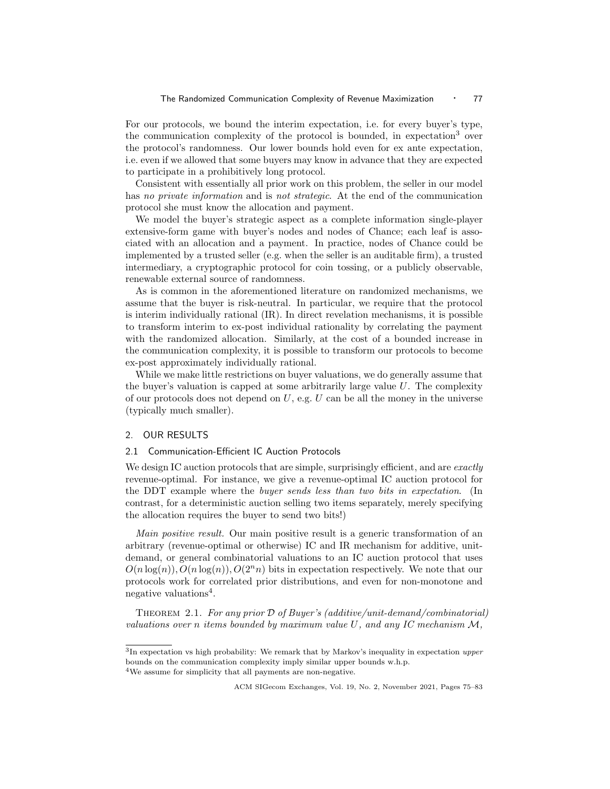For our protocols, we bound the interim expectation, i.e. for every buyer's type, the communication complexity of the protocol is bounded, in expectation<sup>3</sup> over the protocol's randomness. Our lower bounds hold even for ex ante expectation, i.e. even if we allowed that some buyers may know in advance that they are expected to participate in a prohibitively long protocol.

Consistent with essentially all prior work on this problem, the seller in our model has no private information and is not strategic. At the end of the communication protocol she must know the allocation and payment.

We model the buyer's strategic aspect as a complete information single-player extensive-form game with buyer's nodes and nodes of Chance; each leaf is associated with an allocation and a payment. In practice, nodes of Chance could be implemented by a trusted seller (e.g. when the seller is an auditable firm), a trusted intermediary, a cryptographic protocol for coin tossing, or a publicly observable, renewable external source of randomness.

As is common in the aforementioned literature on randomized mechanisms, we assume that the buyer is risk-neutral. In particular, we require that the protocol is interim individually rational  $(IR)$ . In direct revelation mechanisms, it is possible to transform interim to ex-post individual rationality by correlating the payment with the randomized allocation. Similarly, at the cost of a bounded increase in the communication complexity, it is possible to transform our protocols to become ex-post approximately individually rational.

While we make little restrictions on buyer valuations, we do generally assume that the buyer's valuation is capped at some arbitrarily large value  $U$ . The complexity of our protocols does not depend on  $U$ , e.g.  $U$  can be all the money in the universe (typically much smaller).

#### 2. OUR RESULTS

# 2.1 Communication-Efficient IC Auction Protocols

We design IC auction protocols that are simple, surprisingly efficient, and are *exactly* revenue-optimal. For instance, we give a revenue-optimal IC auction protocol for the DDT example where the buyer sends less than two bits in expectation. (In contrast, for a deterministic auction selling two items separately, merely specifying the allocation requires the buyer to send two bits!)

Main positive result. Our main positive result is a generic transformation of an arbitrary (revenue-optimal or otherwise) IC and IR mechanism for additive, unitdemand, or general combinatorial valuations to an IC auction protocol that uses  $O(n \log(n)), O(n \log(n)), O(2^n n)$  bits in expectation respectively. We note that our protocols work for correlated prior distributions, and even for non-monotone and negative valuations<sup>4</sup>.

THEOREM 2.1. For any prior  $\mathcal D$  of Buyer's (additive/unit-demand/combinatorial) valuations over n items bounded by maximum value U, and any IC mechanism  $\mathcal{M}$ ,

<sup>&</sup>lt;sup>3</sup>In expectation vs high probability: We remark that by Markov's inequality in expectation upper bounds on the communication complexity imply similar upper bounds w.h.p. <sup>4</sup>We assume for simplicity that all payments are non-negative.

ACM SIGecom Exchanges, Vol. 19, No. 2, November 2021, Pages 75–83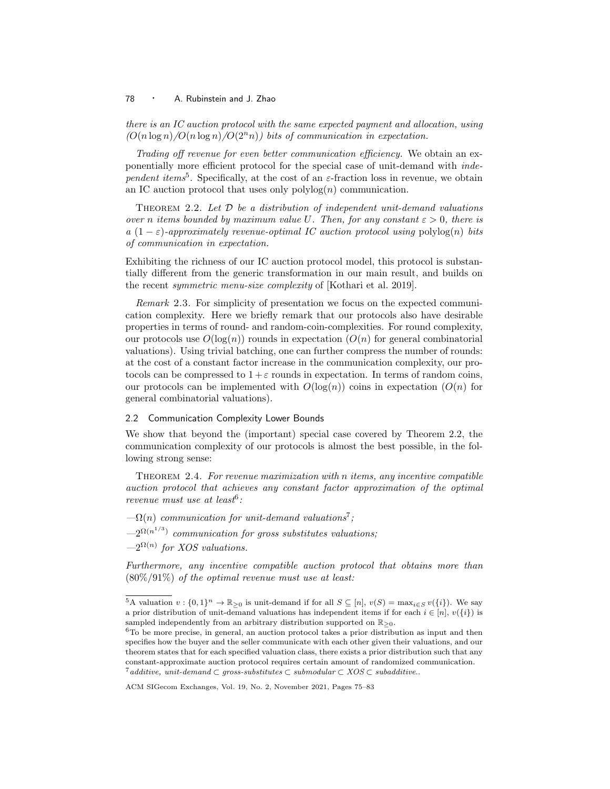there is an IC auction protocol with the same expected payment and allocation, using  $\left(\frac{O(n \log n)}{O(n \log n)}\right)$  bits of communication in expectation.

Trading off revenue for even better communication efficiency. We obtain an exponentially more efficient protocol for the special case of unit-demand with independent items<sup>5</sup>. Specifically, at the cost of an  $\varepsilon$ -fraction loss in revenue, we obtain an IC auction protocol that uses only  $\text{polylog}(n)$  communication.

THEOREM 2.2. Let  $D$  be a distribution of independent unit-demand valuations over n items bounded by maximum value U. Then, for any constant  $\varepsilon > 0$ , there is a (1 −  $\varepsilon$ )-approximately revenue-optimal IC auction protocol using polylog(n) bits of communication in expectation.

Exhibiting the richness of our IC auction protocol model, this protocol is substantially different from the generic transformation in our main result, and builds on the recent symmetric menu-size complexity of [Kothari et al. 2019].

Remark 2.3. For simplicity of presentation we focus on the expected communication complexity. Here we briefly remark that our protocols also have desirable properties in terms of round- and random-coin-complexities. For round complexity, our protocols use  $O(\log(n))$  rounds in expectation  $(O(n))$  for general combinatorial valuations). Using trivial batching, one can further compress the number of rounds: at the cost of a constant factor increase in the communication complexity, our protocols can be compressed to  $1 + \varepsilon$  rounds in expectation. In terms of random coins, our protocols can be implemented with  $O(\log(n))$  coins in expectation  $(O(n))$  for general combinatorial valuations).

## 2.2 Communication Complexity Lower Bounds

We show that beyond the (important) special case covered by Theorem 2.2, the communication complexity of our protocols is almost the best possible, in the following strong sense:

Theorem 2.4. For revenue maximization with n items, any incentive compatible auction protocol that achieves any constant factor approximation of the optimal revenue must use at least<sup>6</sup>:

 $-\Omega(n)$  communication for unit-demand valuations<sup>7</sup>;

 $-2^{\Omega(n^{1/3})}$  communication for gross substitutes valuations;

 $-2^{\Omega(n)}$  for XOS valuations.

Furthermore, any incentive compatible auction protocol that obtains more than  $(80\%/91\%)$  of the optimal revenue must use at least:

<sup>&</sup>lt;sup>5</sup>A valuation  $v: \{0,1\}^n \to \mathbb{R}_{\geq 0}$  is unit-demand if for all  $S \subseteq [n]$ ,  $v(S) = \max_{i \in S} v(\{i\})$ . We say a prior distribution of unit-demand valuations has independent items if for each  $i \in [n], v(\{i\})$  is sampled independently from an arbitrary distribution supported on  $\mathbb{R}_{>0}$ .

 $6T<sub>0</sub>$  be more precise, in general, an auction protocol takes a prior distribution as input and then specifies how the buyer and the seller communicate with each other given their valuations, and our theorem states that for each specified valuation class, there exists a prior distribution such that any constant-approximate auction protocol requires certain amount of randomized communication. <sup>7</sup>additive, unit-demand ⊂ gross-substitutes ⊂ submodular ⊂ XOS ⊂ subadditive..

ACM SIGecom Exchanges, Vol. 19, No. 2, November 2021, Pages 75–83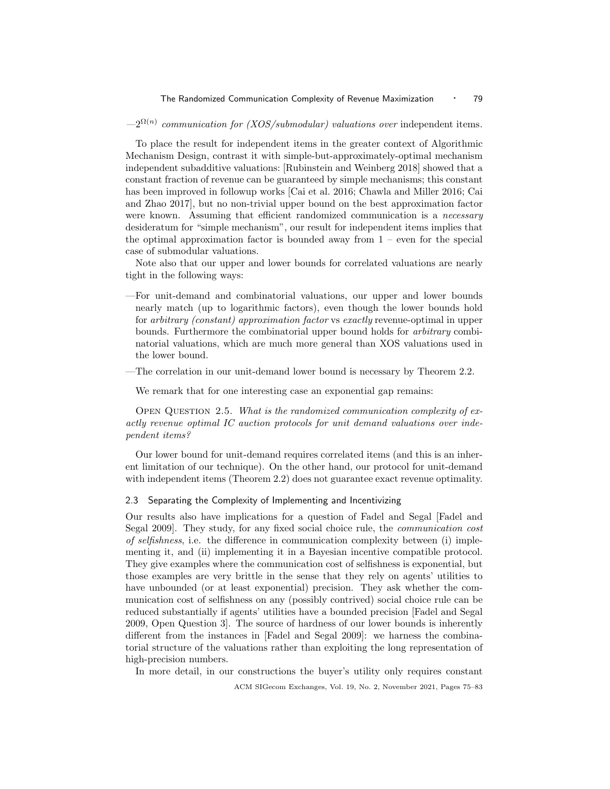$-2^{\Omega(n)}$  communication for (XOS/submodular) valuations over independent items.

To place the result for independent items in the greater context of Algorithmic Mechanism Design, contrast it with simple-but-approximately-optimal mechanism independent subadditive valuations: [Rubinstein and Weinberg 2018] showed that a constant fraction of revenue can be guaranteed by simple mechanisms; this constant has been improved in followup works [Cai et al. 2016; Chawla and Miller 2016; Cai and Zhao 2017], but no non-trivial upper bound on the best approximation factor were known. Assuming that efficient randomized communication is a *necessary* desideratum for "simple mechanism", our result for independent items implies that the optimal approximation factor is bounded away from  $1$  – even for the special case of submodular valuations.

Note also that our upper and lower bounds for correlated valuations are nearly tight in the following ways:

- —For unit-demand and combinatorial valuations, our upper and lower bounds nearly match (up to logarithmic factors), even though the lower bounds hold for arbitrary (constant) approximation factor vs exactly revenue-optimal in upper bounds. Furthermore the combinatorial upper bound holds for arbitrary combinatorial valuations, which are much more general than XOS valuations used in the lower bound.
- —The correlation in our unit-demand lower bound is necessary by Theorem 2.2.

We remark that for one interesting case an exponential gap remains:

OPEN QUESTION 2.5. What is the randomized communication complexity of exactly revenue optimal IC auction protocols for unit demand valuations over independent items?

Our lower bound for unit-demand requires correlated items (and this is an inherent limitation of our technique). On the other hand, our protocol for unit-demand with independent items (Theorem 2.2) does not guarantee exact revenue optimality.

### 2.3 Separating the Complexity of Implementing and Incentivizing

Our results also have implications for a question of Fadel and Segal [Fadel and Segal 2009]. They study, for any fixed social choice rule, the communication cost of selfishness, i.e. the difference in communication complexity between (i) implementing it, and (ii) implementing it in a Bayesian incentive compatible protocol. They give examples where the communication cost of selfishness is exponential, but those examples are very brittle in the sense that they rely on agents' utilities to have unbounded (or at least exponential) precision. They ask whether the communication cost of selfishness on any (possibly contrived) social choice rule can be reduced substantially if agents' utilities have a bounded precision [Fadel and Segal 2009, Open Question 3]. The source of hardness of our lower bounds is inherently different from the instances in [Fadel and Segal 2009]: we harness the combinatorial structure of the valuations rather than exploiting the long representation of high-precision numbers.

In more detail, in our constructions the buyer's utility only requires constant

ACM SIGecom Exchanges, Vol. 19, No. 2, November 2021, Pages 75–83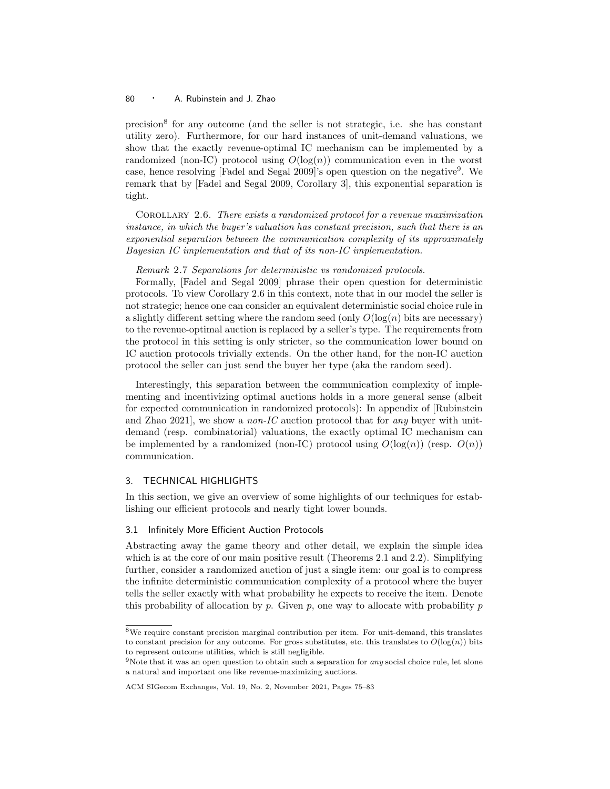precision<sup>8</sup> for any outcome (and the seller is not strategic, i.e. she has constant utility zero). Furthermore, for our hard instances of unit-demand valuations, we show that the exactly revenue-optimal IC mechanism can be implemented by a randomized (non-IC) protocol using  $O(log(n))$  communication even in the worst case, hence resolving [Fadel and Segal 2009]'s open question on the negative<sup>9</sup>. We remark that by [Fadel and Segal 2009, Corollary 3], this exponential separation is tight.

Corollary 2.6. There exists a randomized protocol for a revenue maximization instance, in which the buyer's valuation has constant precision, such that there is an exponential separation between the communication complexity of its approximately Bayesian IC implementation and that of its non-IC implementation.

Remark 2.7 Separations for deterministic vs randomized protocols.

Formally, [Fadel and Segal 2009] phrase their open question for deterministic protocols. To view Corollary 2.6 in this context, note that in our model the seller is not strategic; hence one can consider an equivalent deterministic social choice rule in a slightly different setting where the random seed (only  $O(\log(n))$  bits are necessary) to the revenue-optimal auction is replaced by a seller's type. The requirements from the protocol in this setting is only stricter, so the communication lower bound on IC auction protocols trivially extends. On the other hand, for the non-IC auction protocol the seller can just send the buyer her type (aka the random seed).

Interestingly, this separation between the communication complexity of implementing and incentivizing optimal auctions holds in a more general sense (albeit for expected communication in randomized protocols): In appendix of [Rubinstein and Zhao 2021, we show a *non-IC* auction protocol that for *any* buyer with unitdemand (resp. combinatorial) valuations, the exactly optimal IC mechanism can be implemented by a randomized (non-IC) protocol using  $O(log(n))$  (resp.  $O(n)$ ) communication.

#### 3. TECHNICAL HIGHLIGHTS

In this section, we give an overview of some highlights of our techniques for establishing our efficient protocols and nearly tight lower bounds.

#### 3.1 Infinitely More Efficient Auction Protocols

Abstracting away the game theory and other detail, we explain the simple idea which is at the core of our main positive result (Theorems 2.1 and 2.2). Simplifying further, consider a randomized auction of just a single item: our goal is to compress the infinite deterministic communication complexity of a protocol where the buyer tells the seller exactly with what probability he expects to receive the item. Denote this probability of allocation by  $p$ . Given  $p$ , one way to allocate with probability  $p$ 

<sup>8</sup>We require constant precision marginal contribution per item. For unit-demand, this translates to constant precision for any outcome. For gross substitutes, etc. this translates to  $O(\log(n))$  bits to represent outcome utilities, which is still negligible.

<sup>&</sup>lt;sup>9</sup>Note that it was an open question to obtain such a separation for *any* social choice rule, let alone a natural and important one like revenue-maximizing auctions.

ACM SIGecom Exchanges, Vol. 19, No. 2, November 2021, Pages 75–83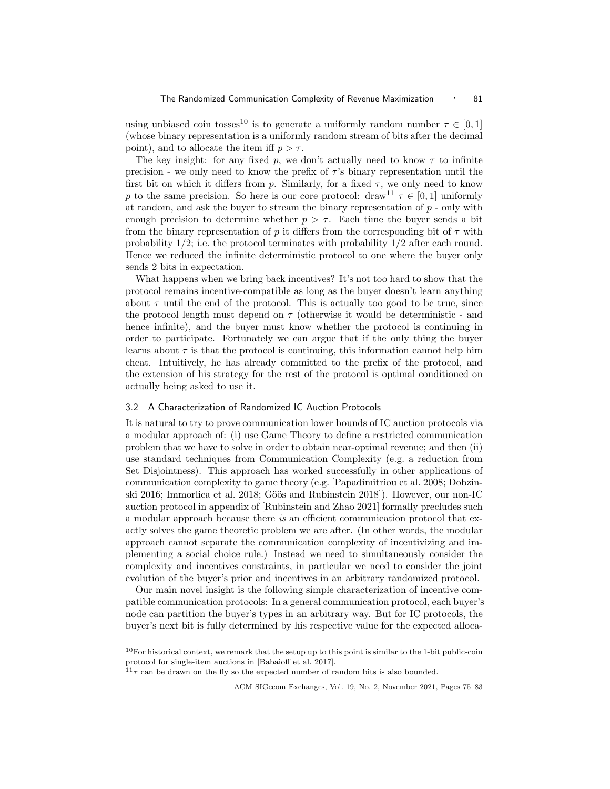using unbiased coin tosses<sup>10</sup> is to generate a uniformly random number  $\tau \in [0, 1]$ (whose binary representation is a uniformly random stream of bits after the decimal point), and to allocate the item iff  $p > \tau$ .

The key insight: for any fixed p, we don't actually need to know  $\tau$  to infinite precision - we only need to know the prefix of  $\tau$ 's binary representation until the first bit on which it differs from p. Similarly, for a fixed  $\tau$ , we only need to know p to the same precision. So here is our core protocol: draw<sup>11</sup>  $\tau \in [0,1]$  uniformly at random, and ask the buyer to stream the binary representation of  $p$  - only with enough precision to determine whether  $p > \tau$ . Each time the buyer sends a bit from the binary representation of p it differs from the corresponding bit of  $\tau$  with probability  $1/2$ ; i.e. the protocol terminates with probability  $1/2$  after each round. Hence we reduced the infinite deterministic protocol to one where the buyer only sends 2 bits in expectation.

What happens when we bring back incentives? It's not too hard to show that the protocol remains incentive-compatible as long as the buyer doesn't learn anything about  $\tau$  until the end of the protocol. This is actually too good to be true, since the protocol length must depend on  $\tau$  (otherwise it would be deterministic - and hence infinite), and the buyer must know whether the protocol is continuing in order to participate. Fortunately we can argue that if the only thing the buyer learns about  $\tau$  is that the protocol is continuing, this information cannot help him cheat. Intuitively, he has already committed to the prefix of the protocol, and the extension of his strategy for the rest of the protocol is optimal conditioned on actually being asked to use it.

#### 3.2 A Characterization of Randomized IC Auction Protocols

It is natural to try to prove communication lower bounds of IC auction protocols via a modular approach of: (i) use Game Theory to define a restricted communication problem that we have to solve in order to obtain near-optimal revenue; and then (ii) use standard techniques from Communication Complexity (e.g. a reduction from Set Disjointness). This approach has worked successfully in other applications of communication complexity to game theory (e.g. [Papadimitriou et al. 2008; Dobzinski 2016; Immorlica et al. 2018; Göös and Rubinstein 2018]). However, our non-IC auction protocol in appendix of [Rubinstein and Zhao 2021] formally precludes such a modular approach because there is an efficient communication protocol that exactly solves the game theoretic problem we are after. (In other words, the modular approach cannot separate the communication complexity of incentivizing and implementing a social choice rule.) Instead we need to simultaneously consider the complexity and incentives constraints, in particular we need to consider the joint evolution of the buyer's prior and incentives in an arbitrary randomized protocol.

Our main novel insight is the following simple characterization of incentive compatible communication protocols: In a general communication protocol, each buyer's node can partition the buyer's types in an arbitrary way. But for IC protocols, the buyer's next bit is fully determined by his respective value for the expected alloca-

 $10$ For historical context, we remark that the setup up to this point is similar to the 1-bit public-coin protocol for single-item auctions in [Babaioff et al. 2017].

 $^{11}\tau$  can be drawn on the fly so the expected number of random bits is also bounded.

ACM SIGecom Exchanges, Vol. 19, No. 2, November 2021, Pages 75–83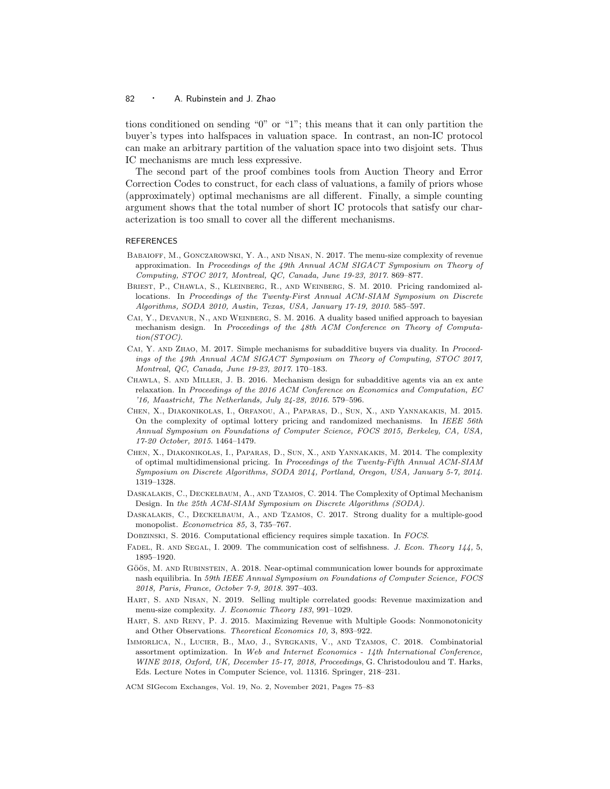tions conditioned on sending "0" or "1"; this means that it can only partition the buyer's types into halfspaces in valuation space. In contrast, an non-IC protocol can make an arbitrary partition of the valuation space into two disjoint sets. Thus IC mechanisms are much less expressive.

The second part of the proof combines tools from Auction Theory and Error Correction Codes to construct, for each class of valuations, a family of priors whose (approximately) optimal mechanisms are all different. Finally, a simple counting argument shows that the total number of short IC protocols that satisfy our characterization is too small to cover all the different mechanisms.

### **REFERENCES**

- Babaioff, M., Gonczarowski, Y. A., and Nisan, N. 2017. The menu-size complexity of revenue approximation. In Proceedings of the 49th Annual ACM SIGACT Symposium on Theory of Computing, STOC 2017, Montreal, QC, Canada, June 19-23, 2017. 869–877.
- Briest, P., Chawla, S., Kleinberg, R., and Weinberg, S. M. 2010. Pricing randomized allocations. In Proceedings of the Twenty-First Annual ACM-SIAM Symposium on Discrete Algorithms, SODA 2010, Austin, Texas, USA, January 17-19, 2010. 585–597.
- CAI, Y., DEVANUR, N., AND WEINBERG, S. M. 2016. A duality based unified approach to bayesian mechanism design. In Proceedings of the 48th ACM Conference on Theory of Computation(STOC).
- CAI, Y. AND ZHAO, M. 2017. Simple mechanisms for subadditive buyers via duality. In Proceedings of the 49th Annual ACM SIGACT Symposium on Theory of Computing, STOC 2017, Montreal, QC, Canada, June 19-23, 2017. 170–183.
- Chawla, S. and Miller, J. B. 2016. Mechanism design for subadditive agents via an ex ante relaxation. In Proceedings of the 2016 ACM Conference on Economics and Computation, EC '16, Maastricht, The Netherlands, July 24-28, 2016. 579–596.
- Chen, X., Diakonikolas, I., Orfanou, A., Paparas, D., Sun, X., and Yannakakis, M. 2015. On the complexity of optimal lottery pricing and randomized mechanisms. In IEEE 56th Annual Symposium on Foundations of Computer Science, FOCS 2015, Berkeley, CA, USA, 17-20 October, 2015. 1464–1479.
- Chen, X., Diakonikolas, I., Paparas, D., Sun, X., and Yannakakis, M. 2014. The complexity of optimal multidimensional pricing. In Proceedings of the Twenty-Fifth Annual ACM-SIAM Symposium on Discrete Algorithms, SODA 2014, Portland, Oregon, USA, January 5-7, 2014. 1319–1328.
- Daskalakis, C., Deckelbaum, A., and Tzamos, C. 2014. The Complexity of Optimal Mechanism Design. In the 25th ACM-SIAM Symposium on Discrete Algorithms (SODA).
- Daskalakis, C., Deckelbaum, A., and Tzamos, C. 2017. Strong duality for a multiple-good monopolist. Econometrica 85, 3, 735–767.
- Dobzinski, S. 2016. Computational efficiency requires simple taxation. In FOCS.
- FADEL, R. AND SEGAL, I. 2009. The communication cost of selfishness. J. Econ. Theory 144, 5, 1895–1920.
- GÖÖS, M. AND RUBINSTEIN, A. 2018. Near-optimal communication lower bounds for approximate nash equilibria. In 59th IEEE Annual Symposium on Foundations of Computer Science, FOCS 2018, Paris, France, October 7-9, 2018. 397–403.
- Hart, S. and Nisan, N. 2019. Selling multiple correlated goods: Revenue maximization and menu-size complexity. J. Economic Theory 183, 991–1029.
- Hart, S. and Reny, P. J. 2015. Maximizing Revenue with Multiple Goods: Nonmonotonicity and Other Observations. Theoretical Economics 10, 3, 893–922.
- Immorlica, N., Lucier, B., Mao, J., Syrgkanis, V., and Tzamos, C. 2018. Combinatorial assortment optimization. In Web and Internet Economics - 14th International Conference, WINE 2018, Oxford, UK, December 15-17, 2018, Proceedings, G. Christodoulou and T. Harks, Eds. Lecture Notes in Computer Science, vol. 11316. Springer, 218–231.

ACM SIGecom Exchanges, Vol. 19, No. 2, November 2021, Pages 75–83